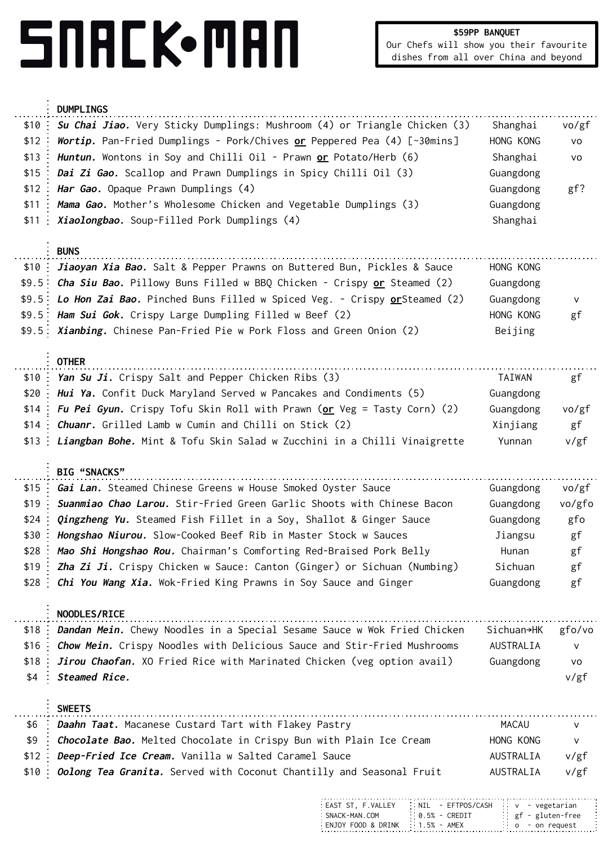## SNACK.MAN

|       | <b>DUMPLINGS</b>                                                               |            |        |
|-------|--------------------------------------------------------------------------------|------------|--------|
| \$10  | Su Chai Jiao. Very Sticky Dumplings: Mushroom (4) or Triangle Chicken (3)      | Shanghai   | vo/gf  |
| \$12  | Wortip. Pan-Fried Dumplings - Pork/Chives <u>or</u> Peppered Pea (4) [~30mins] | HONG KONG  | VO     |
| \$13  | Huntun. Wontons in Soy and Chilli Oil - Prawn or Potato/Herb (6)               | Shanghai   | vo     |
| \$15  | Dai Zi Gao. Scallop and Prawn Dumplings in Spicy Chilli Oil (3)                | Guangdong  |        |
| \$12  | Har Gao. Opaque Prawn Dumplings (4)                                            | Guangdong  | $gf$ ? |
| \$11  | Mama Gao. Mother's Wholesome Chicken and Vegetable Dumplings (3)               | Guangdong  |        |
| \$11  | Xiaolongbao. Soup-Filled Pork Dumplings (4)                                    | Shanghai   |        |
|       |                                                                                |            |        |
|       | <b>BUNS</b>                                                                    |            |        |
| \$10  | Jiaoyan Xia Bao. Salt & Pepper Prawns on Buttered Bun, Pickles & Sauce         | HONG KONG  |        |
| \$9.5 | Cha Siu Bao. Pillowy Buns Filled w BBQ Chicken - Crispy or Steamed (2)         | Guangdong  |        |
| \$9.5 | Lo Hon Zai Bao. Pinched Buns Filled w Spiced Veg. - Crispy or Steamed (2)      | Guangdong  | V      |
| \$9.5 | Ham Sui Gok. Crispy Large Dumpling Filled w Beef (2)                           | HONG KONG  | gf     |
| \$9.5 | Xianbing. Chinese Pan-Fried Pie w Pork Floss and Green Onion (2)               | Beijing    |        |
|       |                                                                                |            |        |
|       | <b>OTHER</b>                                                                   |            |        |
| \$10  | Yan Su Ji. Crispy Salt and Pepper Chicken Ribs (3)                             | TAIWAN     | gf     |
| \$20  | Hui Ya. Confit Duck Maryland Served w Pancakes and Condiments (5)              | Guangdong  |        |
| \$14  | Fu Pei Gyun. Crispy Tofu Skin Roll with Prawn (or Veg = Tasty Corn) (2)        | Guangdong  | vo/gf  |
| \$14  | Chuanr. Grilled Lamb w Cumin and Chilli on Stick (2)                           | Xinjiang   | gf     |
| \$13  | Liangban Bohe. Mint & Tofu Skin Salad w Zucchini in a Chilli Vinaigrette       | Yunnan     | v/gf   |
|       | BIG "SNACKS"                                                                   |            |        |
| \$15  | Gai Lan. Steamed Chinese Greens w House Smoked Oyster Sauce                    | Guangdong  | vo/gf  |
| \$19  | Suanmiao Chao Larou. Stir-Fried Green Garlic Shoots with Chinese Bacon         | Guangdong  | vo/gfo |
| \$24  | Qingzheng Yu. Steamed Fish Fillet in a Soy, Shallot & Ginger Sauce             | Guangdong  | gfo    |
| \$30  | Hongshao Niurou. Slow-Cooked Beef Rib in Master Stock w Sauces                 | Jiangsu    | gf     |
| \$28  | Mao Shi Hongshao Rou. Chairman's Comforting Red-Braised Pork Belly             | Hunan      | gf     |
| \$19  | Zha Zi Ji. Crispy Chicken w Sauce: Canton (Ginger) or Sichuan (Numbing)        | Sichuan    | gf     |
| \$28  | Chi You Wang Xia. Wok-Fried King Prawns in Soy Sauce and Ginger                | Guangdong  | gf     |
|       |                                                                                |            |        |
|       | NOODLES/RICE                                                                   |            |        |
| \$18  | Dandan Mein. Chewy Noodles in a Special Sesame Sauce w Wok Fried Chicken       | Sichuan→HK | gfo/vo |
| \$16  | Chow Mein. Crispy Noodles with Delicious Sauce and Stir-Fried Mushrooms        | AUSTRALIA  | ν      |
| \$18  | Jirou Chaofan. XO Fried Rice with Marinated Chicken (veg option avail)         | Guangdong  | VO     |
| \$4   | Steamed Rice.                                                                  |            | v/gf   |
|       |                                                                                |            |        |
|       | <b>SWEETS</b>                                                                  |            |        |
| \$6   | Daahn Taat. Macanese Custard Tart with Flakey Pastry                           | MACAU      | V      |
| \$9   | Chocolate Bao. Melted Chocolate in Crispy Bun with Plain Ice Cream             | HONG KONG  | V      |
| \$12  | Deep-Fried Ice Cream. Vanilla w Salted Caramel Sauce                           | AUSTRALIA  | v/gf   |
| \$10  |                                                                                | AUSTRALIA  | v/gf   |
|       | Oolong Tea Granita. Served with Coconut Chantilly and Seasonal Fruit           |            |        |

| : EAST ST. F.VALLEY               | $\therefore$ NIL - EFTPOS/CASH $\vee$ - vegetarian |                                    |
|-----------------------------------|----------------------------------------------------|------------------------------------|
| : SNACK-MAN.COM                   | $\therefore$ 0.5% - CREDIT                         | gf - gluten-free                   |
| ENJOY FOOD & DRINK :: 1.5% - AMEX |                                                    | $\circ$ $\circ$ $\circ$ on request |